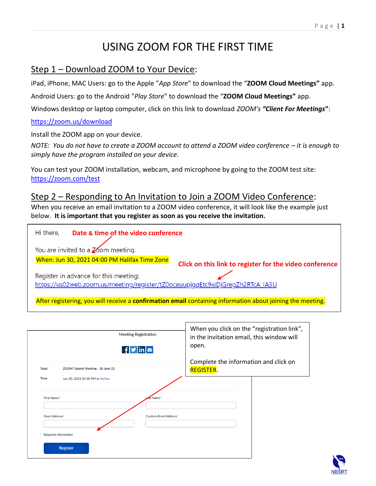# USING ZOOM FOR THE FIRST TIME

#### Step 1 – Download ZOOM to Your Device:

iPad, iPhone, MAC Users: go to the Apple "*App Store*" to download the "**ZOOM Cloud Meetings"** app.

Android Users: go to the Android "*Play Store*" to download the "**ZOOM Cloud Meetings"** app.

Windows desktop or laptop computer, click on this link to download *ZOOM's "Client For Meetings***"**:

#### <https://zoom.us/download>

Install the ZOOM app on your device.

*NOTE: You do not have to create a ZOOM account to attend a ZOOM video conference – it is enough to simply have the program installed on your device.*

You can test your ZOOM installation, webcam, and microphone by going to the ZOOM test site: <https://zoom.com/test>

#### Step 2 – Responding to An Invitation to Join a ZOOM Video Conference:

When you receive an email invitation to a ZOOM video conference, it will look like the example just below. **It is important that you register as soon as you receive the invitation.**

| Hi there,<br>Date & time of the video conference                                                           |                                               |                                                         |  |
|------------------------------------------------------------------------------------------------------------|-----------------------------------------------|---------------------------------------------------------|--|
| You are invited to a $\chi$ om meeting.                                                                    |                                               |                                                         |  |
|                                                                                                            | When: Jun 30, 2021 04:00 PM Halifax Time Zone | Click on this link to register for the video conference |  |
|                                                                                                            | Register in advance for this meeting:         |                                                         |  |
| https://us02web.zoom.us/meeting/register/tZ0oceuupjggEtc9xiDjGregZh2RTcA_IA3U                              |                                               |                                                         |  |
| After registering, you will receive a confirmation email containing information about joining the meeting. |                                               |                                                         |  |

| <b>Meeting Registration</b><br>$f$ $\frac{g}{\ln 2}$ | When you click on the "registration link",<br>in the invitation email, this window will<br>open. |
|------------------------------------------------------|--------------------------------------------------------------------------------------------------|
| ZOOM Tutorial Meeting - 30 June 21<br><b>Topic</b>   | Complete the information and click on<br><b>REGISTER.</b>                                        |
| <b>Time</b><br>Jun 30, 2021 04:00 PM in Halifax      |                                                                                                  |
| ast Name*<br>First Name*                             |                                                                                                  |
| <b>Confirm Email Address*</b><br>Email Address*      |                                                                                                  |
| <b>Required information</b>                          |                                                                                                  |
| Register                                             |                                                                                                  |

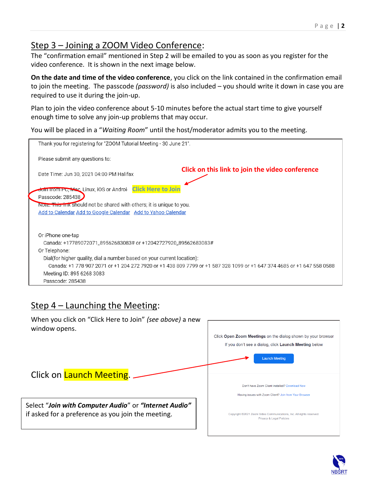## Step 3 – Joining a ZOOM Video Conference:

The "confirmation email" mentioned in Step 2 will be emailed to you as soon as you register for the video conference. It is shown in the next image below.

**On the date and time of the video conference**, you click on the link contained in the confirmation email to join the meeting. The passcode *(password)* is also included – you should write it down in case you are required to use it during the join-up.

Plan to join the video conference about 5-10 minutes before the actual start time to give yourself enough time to solve any join-up problems that may occur.

You will be placed in a "*Waiting Room*" until the host/moderator admits you to the meeting.



#### Step 4 – Launching the Meeting:





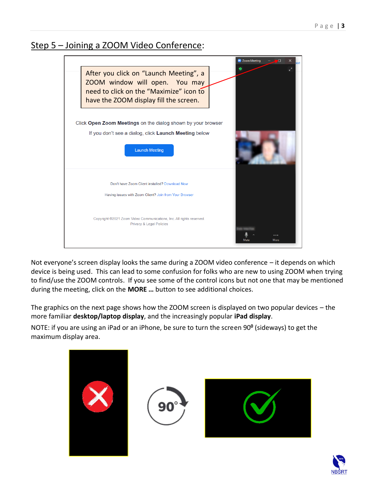### Step 5 – Joining a ZOOM Video Conference:



Not everyone's screen display looks the same during a ZOOM video conference – it depends on which device is being used. This can lead to some confusion for folks who are new to using ZOOM when trying to find/use the ZOOM controls. If you see some of the control icons but not one that may be mentioned during the meeting, click on the **MORE …** button to see additional choices.

The graphics on the next page shows how the ZOOM screen is displayed on two popular devices – the more familiar **desktop/laptop display**, and the increasingly popular **iPad display**.

NOTE: if you are using an iPad or an iPhone, be sure to turn the screen 90**<sup>0</sup>** (sideways) to get the maximum display area.







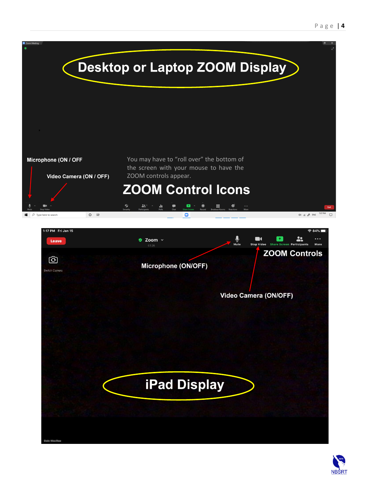

**iPad Display** 

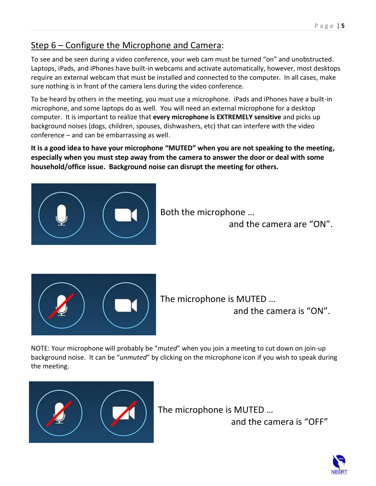## Step 6 – Configure the Microphone and Camera:

To see and be seen during a video conference, your web cam must be turned "on" and unobstructed. Laptops, iPads, and iPhones have built-in webcams and activate automatically, however, most desktops require an external webcam that must be installed and connected to the computer. In all cases, make sure nothing is in front of the camera lens during the video conference.

To be heard by others in the meeting, you must use a microphone. iPads and iPhones have a built-in microphone, and some laptops do as well. You will need an external microphone for a desktop computer. It is important to realize that **every microphone is EXTREMELY sensitive** and picks up background noises (dogs, children, spouses, dishwashers, etc) that can interfere with the video conference – and can be embarrassing as well.

**It is a good idea to have your microphone "MUTED" when you are not speaking to the meeting, especially when you must step away from the camera to answer the door or deal with some household/office issue. Background noise can disrupt the meeting for others.**



Both the microphone …

and the camera are "ON".



The microphone is MUTED … and the camera is "ON".

NOTE: Your microphone will probably be "*muted*" when you join a meeting to cut down on join-up background noise. It can be "*unmuted*" by clicking on the microphone icon if you wish to speak during the meeting.



The microphone is MUTED …

and the camera is "OFF"